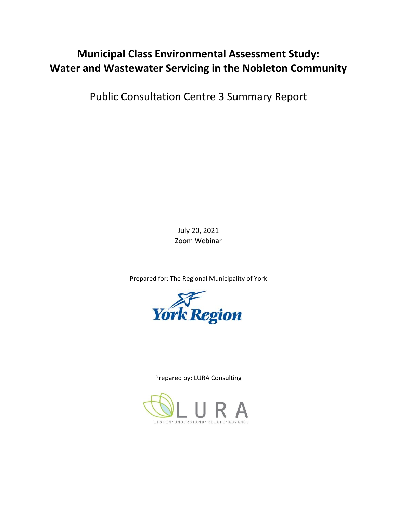# **Municipal Class Environmental Assessment Study: Water and Wastewater Servicing in the Nobleton Community**

Public Consultation Centre 3 Summary Report

July 20, 2021 Zoom Webinar

Prepared for: The Regional Municipality of York



Prepared by: LURA Consulting

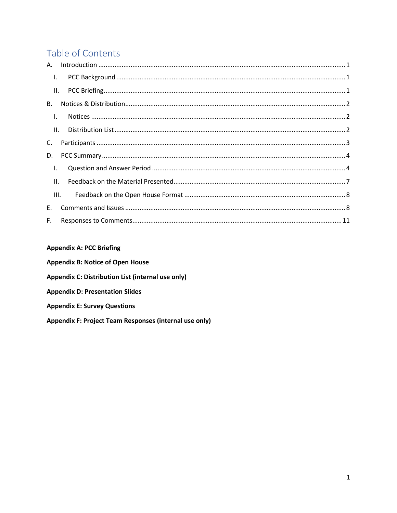# Table of Contents

| Τ.              |     |  |  |
|-----------------|-----|--|--|
| Ш.              |     |  |  |
| <b>B.</b>       |     |  |  |
| $\mathsf{L}$    |     |  |  |
|                 | II. |  |  |
| C.              |     |  |  |
| D.              |     |  |  |
| $\mathbf{I}$ .  |     |  |  |
| $\mathbf{II}$ . |     |  |  |
| III.            |     |  |  |
| E.              |     |  |  |
| F.              |     |  |  |

### **Appendix A: PCC Briefing**

| <b>Appendix B: Notice of Open House</b>                |  |
|--------------------------------------------------------|--|
| Appendix C: Distribution List (internal use only)      |  |
| <b>Appendix D: Presentation Slides</b>                 |  |
| <b>Appendix E: Survey Questions</b>                    |  |
| Appendix F: Project Team Responses (internal use only) |  |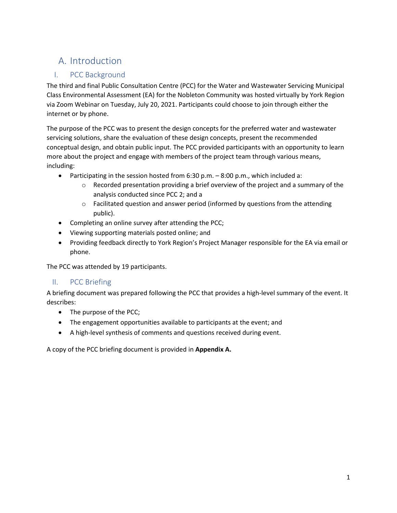# A. Introduction

### I. PCC Background

<span id="page-2-1"></span><span id="page-2-0"></span>The third and final Public Consultation Centre (PCC) for the Water and Wastewater Servicing Municipal Class Environmental Assessment (EA) for the Nobleton Community was hosted virtually by York Region via Zoom Webinar on Tuesday, July 20, 2021. Participants could choose to join through either the internet or by phone.

 servicing solutions, share the evaluation of these design concepts, present the recommended more about the project and engage with members of the project team through various means, The purpose of the PCC was to present the design concepts for the preferred water and wastewater conceptual design, and obtain public input. The PCC provided participants with an opportunity to learn including:

- • Participating in the session hosted from 6:30 p.m. 8:00 p.m., which included a:
	- $\circ$  Recorded presentation providing a brief overview of the project and a summary of the analysis conducted since PCC 2; and a
	- $\circ$  Facilitated question and answer period (informed by questions from the attending public).
- Completing an online survey after attending the PCC;
- Viewing supporting materials posted online; and
- Providing feedback directly to York Region's Project Manager responsible for the EA via email or phone.

<span id="page-2-2"></span>The PCC was attended by 19 participants.

#### II. PCC Briefing

A briefing document was prepared following the PCC that provides a high-level summary of the event. It describes:

- The purpose of the PCC;
- The engagement opportunities available to participants at the event; and
- A high-level synthesis of comments and questions received during event.

A copy of the PCC briefing document is provided in **Appendix A.**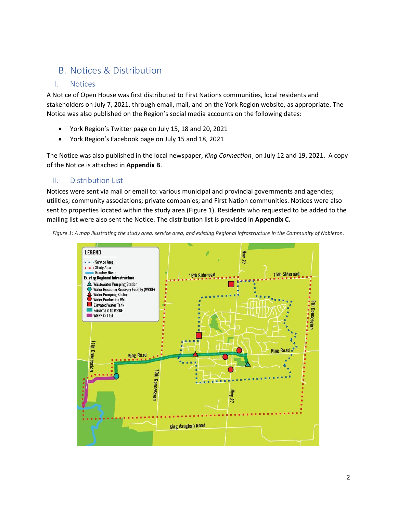## B. Notices & Distribution

#### I. Notices

<span id="page-3-1"></span><span id="page-3-0"></span>A Notice of Open House was first distributed to First Nations communities, local residents and stakeholders on July 7, 2021, through email, mail, and on the York Region website, as appropriate. The Notice was also published on the Region's social media accounts on the following dates:

- York Region's Twitter page on July 15, 18 and 20, 2021
- York Region's Facebook page on July 15 and 18, 2021

The Notice was also published in the local newspaper, *King Connection*¸ on July 12 and 19, 2021. A copy of the Notice is attached in **Appendix B**.

#### II. Distribution List

<span id="page-3-2"></span> utilities; community associations; private companies; and First Nation communities. Notices were also Notices were sent via mail or email to: various municipal and provincial governments and agencies; sent to properties located within the study area (Figure 1). Residents who requested to be added to the mailing list were also sent the Notice. The distribution list is provided in **Appendix C.** 

*Figure 1: A map illustrating the study area, service area, and existing Regional infrastructure in the Community of Nobleton.* 

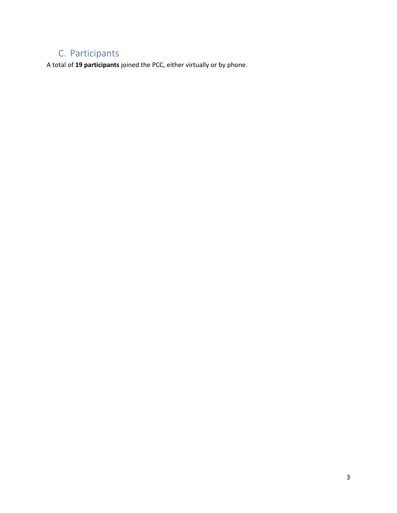# C. Participants

<span id="page-4-0"></span>A total of **19 participants** joined the PCC, either virtually or by phone.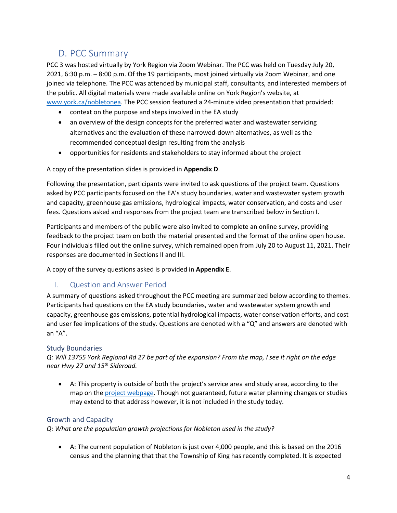## D. PCC Summary

<span id="page-5-0"></span> PCC 3 was hosted virtually by York Region via Zoom Webinar. The PCC was held on Tuesday July 20, 2021, 6:30 p.m. – 8:00 p.m. Of the 19 participants, most joined virtually via Zoom Webinar, and one joined via telephone. The PCC was attended by municipal staff, consultants, and interested members of the public. All digital materials were made available online on York Region's website, at [www.york.ca/nobletonea.](http://www.york.ca/nobletonea) The PCC session featured a 24-minute video presentation that provided:

- context on the purpose and steps involved in the EA study
- an overview of the design concepts for the preferred water and wastewater servicing alternatives and the evaluation of these narrowed-down alternatives, as well as the recommended conceptual design resulting from the analysis
- opportunities for residents and stakeholders to stay informed about the project

#### A copy of the presentation slides is provided in **Appendix D**.

 asked by PCC participants focused on the EA's study boundaries, water and wastewater system growth Following the presentation, participants were invited to ask questions of the project team. Questions and capacity, greenhouse gas emissions, hydrological impacts, water conservation, and costs and user fees. Questions asked and responses from the project team are transcribed below in Section I.

 feedback to the project team on both the material presented and the format of the online open house. Participants and members of the public were also invited to complete an online survey, providing Four individuals filled out the online survey, which remained open from July 20 to August 11, 2021. Their responses are documented in Sections II and III.

A copy of the survey questions asked is provided in **Appendix E**.

#### I. Question and Answer Period

<span id="page-5-1"></span>A summary of questions asked throughout the PCC meeting are summarized below according to themes. Participants had questions on the EA study boundaries, water and wastewater system growth and capacity, greenhouse gas emissions, potential hydrological impacts, water conservation efforts, and cost and user fee implications of the study. Questions are denoted with a "Q" and answers are denoted with an "A".

#### Study Boundaries

*Q: Will 13755 York Regional Rd 27 be part of the expansion? From the map, I see it right on the edge near Hwy 27 and 15th Sideroad.* 

• A: This property is outside of both the project's service area and study area, according to the map on the [project webpage.](http://york.ca/nobletonea) Though not guaranteed, future water planning changes or studies may extend to that address however, it is not included in the study today.

#### Growth and Capacity

*Q: What are the population growth projections for Nobleton used in the study?* 

• A: The current population of Nobleton is just over 4,000 people, and this is based on the 2016 census and the planning that that the Township of King has recently completed. It is expected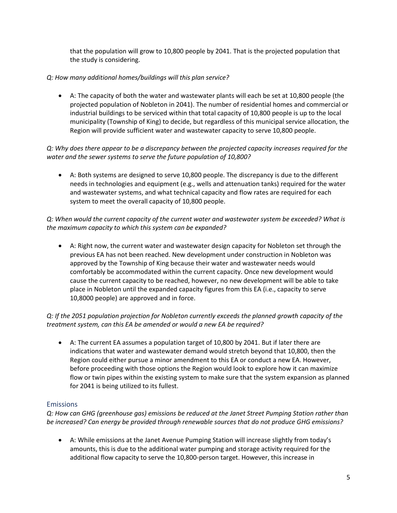that the population will grow to 10,800 people by 2041. That is the projected population that the study is considering.

#### *Q: How many additional homes/buildings will this plan service?*

 • A: The capacity of both the water and wastewater plants will each be set at 10,800 people (the projected population of Nobleton in 2041). The number of residential homes and commercial or industrial buildings to be serviced within that total capacity of 10,800 people is up to the local municipality (Township of King) to decide, but regardless of this municipal service allocation, the Region will provide sufficient water and wastewater capacity to serve 10,800 people.

*Q: Why does there appear to be a discrepancy between the projected capacity increases required for the water and the sewer systems to serve the future population of 10,800?* 

• A: Both systems are designed to serve 10,800 people. The discrepancy is due to the different needs in technologies and equipment (e.g., wells and attenuation tanks) required for the water and wastewater systems, and what technical capacity and flow rates are required for each system to meet the overall capacity of 10,800 people.

*Q: When would the current capacity of the current water and wastewater system be exceeded? What is the maximum capacity to which this system can be expanded?* 

• A: Right now, the current water and wastewater design capacity for Nobleton set through the previous EA has not been reached. New development under construction in Nobleton was approved by the Township of King because their water and wastewater needs would comfortably be accommodated within the current capacity. Once new development would cause the current capacity to be reached, however, no new development will be able to take place in Nobleton until the expanded capacity figures from this EA (i.e., capacity to serve 10,8000 people) are approved and in force.

*Q: If the 2051 population projection for Nobleton currently exceeds the planned growth capacity of the treatment system, can this EA be amended or would a new EA be required?* 

• A: The current EA assumes a population target of 10,800 by 2041. But if later there are indications that water and wastewater demand would stretch beyond that 10,800, then the Region could either pursue a minor amendment to this EA or conduct a new EA. However, before proceeding with those options the Region would look to explore how it can maximize flow or twin pipes within the existing system to make sure that the system expansion as planned for 2041 is being utilized to its fullest.

#### Emissions

*Q: How can GHG (greenhouse gas) emissions be reduced at the Janet Street Pumping Station rather than be increased? Can energy be provided through renewable sources that do not produce GHG emissions?* 

• A: While emissions at the Janet Avenue Pumping Station will increase slightly from today's amounts, this is due to the additional water pumping and storage activity required for the additional flow capacity to serve the 10,800-person target. However, this increase in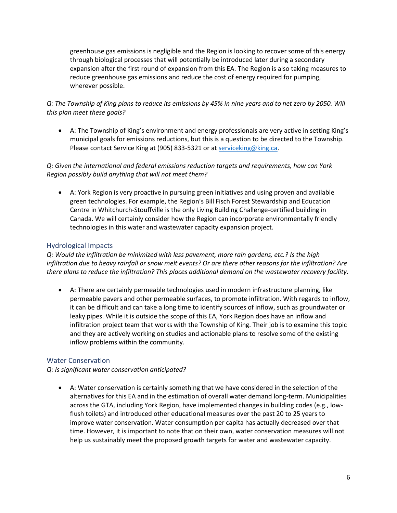greenhouse gas emissions is negligible and the Region is looking to recover some of this energy through biological processes that will potentially be introduced later during a secondary expansion after the first round of expansion from this EA. The Region is also taking measures to reduce greenhouse gas emissions and reduce the cost of energy required for pumping, wherever possible.

*Q: The Township of King plans to reduce its emissions by 45% in nine years and to net zero by 2050. Will this plan meet these goals?* 

• A: The Township of King's environment and energy professionals are very active in setting King's municipal goals for emissions reductions, but this is a question to be directed to the Township. Please contact Service King at (905) 833-5321 or at service king@king.ca.

#### *Q: Given the international and federal emissions reduction targets and requirements, how can York Region possibly build anything that will not meet them?*

 green technologies. For example, the Region's Bill Fisch Forest Stewardship and Education • A: York Region is very proactive in pursuing green initiatives and using proven and available Centre in Whitchurch-Stouffville is the only Living Building Challenge-certified building in Canada. We will certainly consider how the Region can incorporate environmentally friendly technologies in this water and wastewater capacity expansion project.

#### Hydrological Impacts

*Q: Would the infiltration be minimized with less pavement, more rain gardens, etc.? Is the high infiltration due to heavy rainfall or snow melt events? Or are there other reasons for the infiltration? Are there plans to reduce the infiltration? This places additional demand on the wastewater recovery facility.* 

 and they are actively working on studies and actionable plans to resolve some of the existing • A: There are certainly permeable technologies used in modern infrastructure planning, like permeable pavers and other permeable surfaces, to promote infiltration. With regards to inflow, it can be difficult and can take a long time to identify sources of inflow, such as groundwater or leaky pipes. While it is outside the scope of this EA, York Region does have an inflow and infiltration project team that works with the Township of King. Their job is to examine this topic inflow problems within the community.

#### Water Conservation

#### *Q: Is significant water conservation anticipated?*

 flush toilets) and introduced other educational measures over the past 20 to 25 years to • A: Water conservation is certainly something that we have considered in the selection of the alternatives for this EA and in the estimation of overall water demand long-term. Municipalities across the GTA, including York Region, have implemented changes in building codes (e.g., lowimprove water conservation. Water consumption per capita has actually decreased over that time. However, it is important to note that on their own, water conservation measures will not help us sustainably meet the proposed growth targets for water and wastewater capacity.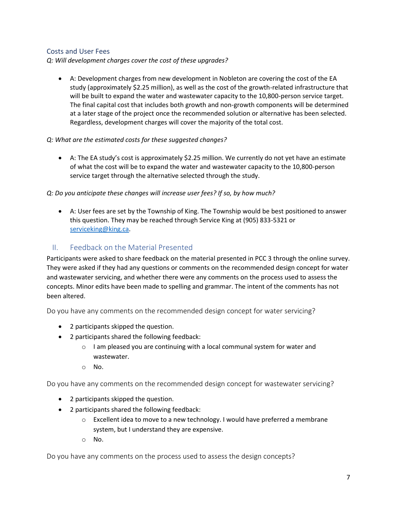#### Costs and User Fees

*Q: Will development charges cover the cost of these upgrades?* 

• A: Development charges from new development in Nobleton are covering the cost of the EA study (approximately \$2.25 million), as well as the cost of the growth-related infrastructure that will be built to expand the water and wastewater capacity to the 10,800-person service target. The final capital cost that includes both growth and non-growth components will be determined at a later stage of the project once the recommended solution or alternative has been selected. Regardless, development charges will cover the majority of the total cost.

#### *Q: What are the estimated costs for these suggested changes?*

 • A: The EA study's cost is approximately \$2.25 million. We currently do not yet have an estimate of what the cost will be to expand the water and wastewater capacity to the 10,800-person service target through the alternative selected through the study.

#### *Q: Do you anticipate these changes will increase user fees? If so, by how much?*

• A: User fees are set by the Township of King. The Township would be best positioned to answer this question. They may be reached through Service King at (905) 833-5321 or serviceking@king.ca.

### II. Feedback on the Material Presented

<span id="page-8-0"></span> Participants were asked to share feedback on the material presented in PCC 3 through the online survey. They were asked if they had any questions or comments on the recommended design concept for water and wastewater servicing, and whether there were any comments on the process used to assess the concepts. Minor edits have been made to spelling and grammar. The intent of the comments has not been altered.

Do you have any comments on the recommended design concept for water servicing?

- 2 participants skipped the question.
- 2 participants shared the following feedback:
	- $\circ$  I am pleased you are continuing with a local communal system for water and wastewater.
	- o No.

Do you have any comments on the recommended design concept for wastewater servicing?

- 2 participants skipped the question.
- 2 participants shared the following feedback:
	- o Excellent idea to move to a new technology. I would have preferred a membrane system, but I understand they are expensive.
	- o No.

Do you have any comments on the process used to assess the design concepts?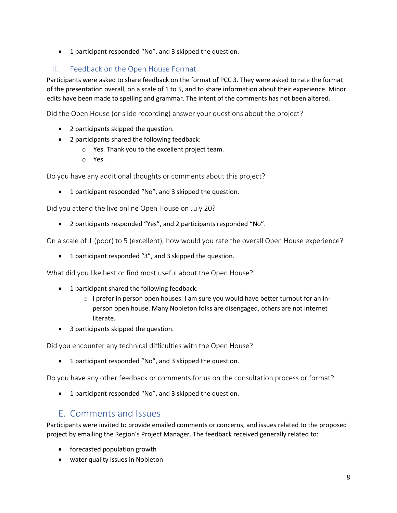• 1 participant responded "No", and 3 skipped the question.

### III. Feedback on the Open House Format

<span id="page-9-0"></span> Participants were asked to share feedback on the format of PCC 3. They were asked to rate the format of the presentation overall, on a scale of 1 to 5, and to share information about their experience. Minor edits have been made to spelling and grammar. The intent of the comments has not been altered.

Did the Open House (or slide recording) answer your questions about the project?

- 2 participants skipped the question.
- 2 participants shared the following feedback:
	- o Yes. Thank you to the excellent project team.
	- o Yes.

Do you have any additional thoughts or comments about this project?

• 1 participant responded "No", and 3 skipped the question.

Did you attend the live online Open House on July 20?

• 2 participants responded "Yes", and 2 participants responded "No".

On a scale of 1 (poor) to 5 (excellent), how would you rate the overall Open House experience?

• 1 participant responded "3", and 3 skipped the question.

What did you like best or find most useful about the Open House?

- 1 participant shared the following feedback:
	- $\circ$  I prefer in person open houses. I am sure you would have better turnout for an inperson open house. Many Nobleton folks are disengaged, others are not internet literate.
- 3 participants skipped the question.

Did you encounter any technical difficulties with the Open House?

• 1 participant responded "No", and 3 skipped the question.

Do you have any other feedback or comments for us on the consultation process or format?

• 1 participant responded "No", and 3 skipped the question.

## E. Comments and Issues

<span id="page-9-1"></span> Participants were invited to provide emailed comments or concerns, and issues related to the proposed project by emailing the Region's Project Manager. The feedback received generally related to:

- forecasted population growth
- water quality issues in Nobleton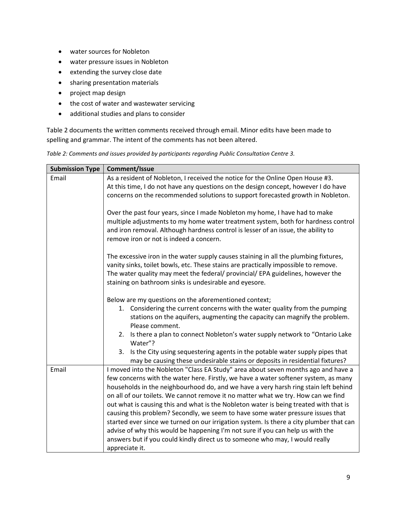- water sources for Nobleton
- water pressure issues in Nobleton
- extending the survey close date
- sharing presentation materials
- project map design
- the cost of water and wastewater servicing
- additional studies and plans to consider

Table 2 documents the written comments received through email. Minor edits have been made to spelling and grammar. The intent of the comments has not been altered.

*Table 2: Comments and issues provided by participants regarding Public Consultation Centre 3.* 

| <b>Submission Type</b> | Comment/Issue                                                                                 |
|------------------------|-----------------------------------------------------------------------------------------------|
| Email                  | As a resident of Nobleton, I received the notice for the Online Open House #3.                |
|                        | At this time, I do not have any questions on the design concept, however I do have            |
|                        | concerns on the recommended solutions to support forecasted growth in Nobleton.               |
|                        |                                                                                               |
|                        | Over the past four years, since I made Nobleton my home, I have had to make                   |
|                        | multiple adjustments to my home water treatment system, both for hardness control             |
|                        | and iron removal. Although hardness control is lesser of an issue, the ability to             |
|                        | remove iron or not is indeed a concern.                                                       |
|                        | The excessive iron in the water supply causes staining in all the plumbing fixtures,          |
|                        | vanity sinks, toilet bowls, etc. These stains are practically impossible to remove.           |
|                        | The water quality may meet the federal/ provincial/ EPA guidelines, however the               |
|                        | staining on bathroom sinks is undesirable and eyesore.                                        |
|                        |                                                                                               |
|                        | Below are my questions on the aforementioned context;                                         |
|                        | 1. Considering the current concerns with the water quality from the pumping                   |
|                        | stations on the aquifers, augmenting the capacity can magnify the problem.<br>Please comment. |
|                        | 2. Is there a plan to connect Nobleton's water supply network to "Ontario Lake                |
|                        | Water"?                                                                                       |
|                        | Is the City using sequestering agents in the potable water supply pipes that<br>3.            |
|                        | may be causing these undesirable stains or deposits in residential fixtures?                  |
| Email                  | I moved into the Nobleton "Class EA Study" area about seven months ago and have a             |
|                        | few concerns with the water here. Firstly, we have a water softener system, as many           |
|                        | households in the neighbourhood do, and we have a very harsh ring stain left behind           |
|                        | on all of our toilets. We cannot remove it no matter what we try. How can we find             |
|                        | out what is causing this and what is the Nobleton water is being treated with that is         |
|                        | causing this problem? Secondly, we seem to have some water pressure issues that               |
|                        | started ever since we turned on our irrigation system. Is there a city plumber that can       |
|                        | advise of why this would be happening I'm not sure if you can help us with the                |
|                        | answers but if you could kindly direct us to someone who may, I would really                  |
|                        | appreciate it.                                                                                |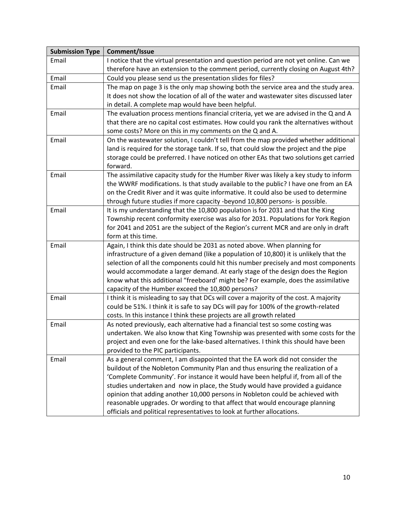| <b>Submission Type</b> | Comment/Issue                                                                          |
|------------------------|----------------------------------------------------------------------------------------|
| Email                  | I notice that the virtual presentation and question period are not yet online. Can we  |
|                        | therefore have an extension to the comment period, currently closing on August 4th?    |
| Email                  | Could you please send us the presentation slides for files?                            |
| Email                  | The map on page 3 is the only map showing both the service area and the study area.    |
|                        | It does not show the location of all of the water and wastewater sites discussed later |
|                        | in detail. A complete map would have been helpful.                                     |
| Email                  | The evaluation process mentions financial criteria, yet we are advised in the Q and A  |
|                        | that there are no capital cost estimates. How could you rank the alternatives without  |
|                        | some costs? More on this in my comments on the Q and A.                                |
| Email                  | On the wastewater solution, I couldn't tell from the map provided whether additional   |
|                        | land is required for the storage tank. If so, that could slow the project and the pipe |
|                        | storage could be preferred. I have noticed on other EAs that two solutions get carried |
|                        | forward.                                                                               |
| Email                  | The assimilative capacity study for the Humber River was likely a key study to inform  |
|                        | the WWRF modifications. Is that study available to the public? I have one from an EA   |
|                        | on the Credit River and it was quite informative. It could also be used to determine   |
|                        | through future studies if more capacity -beyond 10,800 persons- is possible.           |
| Email                  | It is my understanding that the 10,800 population is for 2031 and that the King        |
|                        | Township recent conformity exercise was also for 2031. Populations for York Region     |
|                        | for 2041 and 2051 are the subject of the Region's current MCR and are only in draft    |
|                        | form at this time.                                                                     |
| Email                  | Again, I think this date should be 2031 as noted above. When planning for              |
|                        | infrastructure of a given demand (like a population of 10,800) it is unlikely that the |
|                        | selection of all the components could hit this number precisely and most components    |
|                        | would accommodate a larger demand. At early stage of the design does the Region        |
|                        | know what this additional "freeboard' might be? For example, does the assimilative     |
|                        | capacity of the Humber exceed the 10,800 persons?                                      |
| Email                  | I think it is misleading to say that DCs will cover a majority of the cost. A majority |
|                        | could be 51%. I think it is safe to say DCs will pay for 100% of the growth-related    |
|                        | costs. In this instance I think these projects are all growth related                  |
| Email                  | As noted previously, each alternative had a financial test so some costing was         |
|                        | undertaken. We also know that King Township was presented with some costs for the      |
|                        | project and even one for the lake-based alternatives. I think this should have been    |
|                        | provided to the PIC participants.                                                      |
| Email                  | As a general comment, I am disappointed that the EA work did not consider the          |
|                        | buildout of the Nobleton Community Plan and thus ensuring the realization of a         |
|                        | 'Complete Community'. For instance it would have been helpful if, from all of the      |
|                        | studies undertaken and now in place, the Study would have provided a guidance          |
|                        | opinion that adding another 10,000 persons in Nobleton could be achieved with          |
|                        | reasonable upgrades. Or wording to that affect that would encourage planning           |
|                        | officials and political representatives to look at further allocations.                |